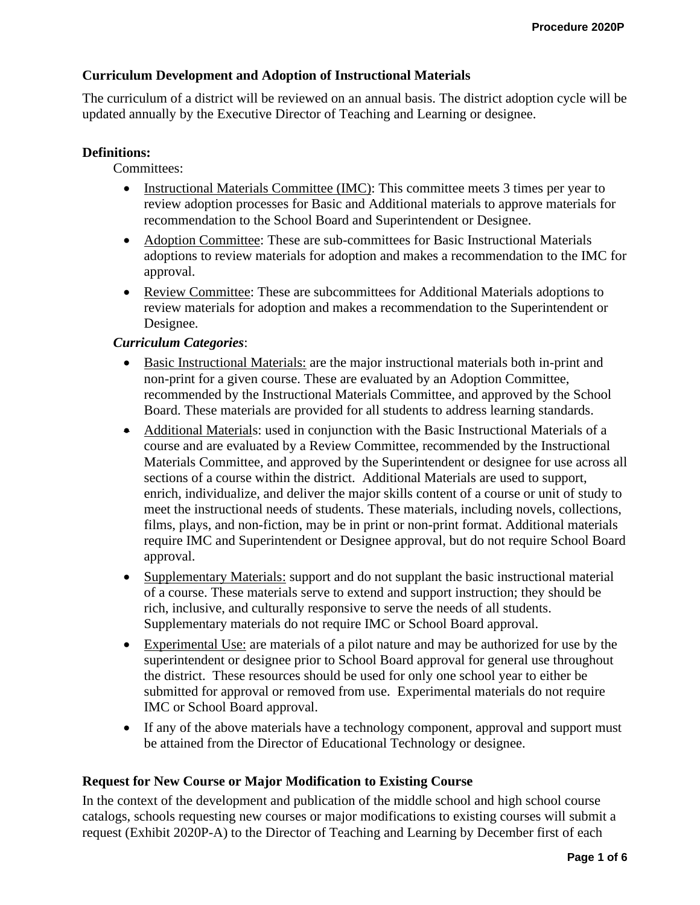# **Curriculum Development and Adoption of Instructional Materials**

The curriculum of a district will be reviewed on an annual basis. The district adoption cycle will be updated annually by the Executive Director of Teaching and Learning or designee.

#### **Definitions:**

Committees:

- Instructional Materials Committee (IMC): This committee meets 3 times per year to review adoption processes for Basic and Additional materials to approve materials for recommendation to the School Board and Superintendent or Designee.
- Adoption Committee: These are sub-committees for Basic Instructional Materials adoptions to review materials for adoption and makes a recommendation to the IMC for approval.
- Review Committee: These are subcommittees for Additional Materials adoptions to review materials for adoption and makes a recommendation to the Superintendent or Designee.

#### *Curriculum Categories*:

- Basic Instructional Materials: are the major instructional materials both in-print and non-print for a given course. These are evaluated by an Adoption Committee, recommended by the Instructional Materials Committee, and approved by the School Board. These materials are provided for all students to address learning standards.
- Additional Materials: used in conjunction with the Basic Instructional Materials of a course and are evaluated by a Review Committee, recommended by the Instructional Materials Committee, and approved by the Superintendent or designee for use across all sections of a course within the district. Additional Materials are used to support, enrich, individualize, and deliver the major skills content of a course or unit of study to meet the instructional needs of students. These materials, including novels, collections, films, plays, and non-fiction, may be in print or non-print format. Additional materials require IMC and Superintendent or Designee approval, but do not require School Board approval.
- Supplementary Materials: support and do not supplant the basic instructional material of a course. These materials serve to extend and support instruction; they should be rich, inclusive, and culturally responsive to serve the needs of all students. Supplementary materials do not require IMC or School Board approval.
- Experimental Use: are materials of a pilot nature and may be authorized for use by the superintendent or designee prior to School Board approval for general use throughout the district. These resources should be used for only one school year to either be submitted for approval or removed from use. Experimental materials do not require IMC or School Board approval.
- If any of the above materials have a technology component, approval and support must be attained from the Director of Educational Technology or designee.

#### **Request for New Course or Major Modification to Existing Course**

In the context of the development and publication of the middle school and high school course catalogs, schools requesting new courses or major modifications to existing courses will submit a request (Exhibit 2020P-A) to the Director of Teaching and Learning by December first of each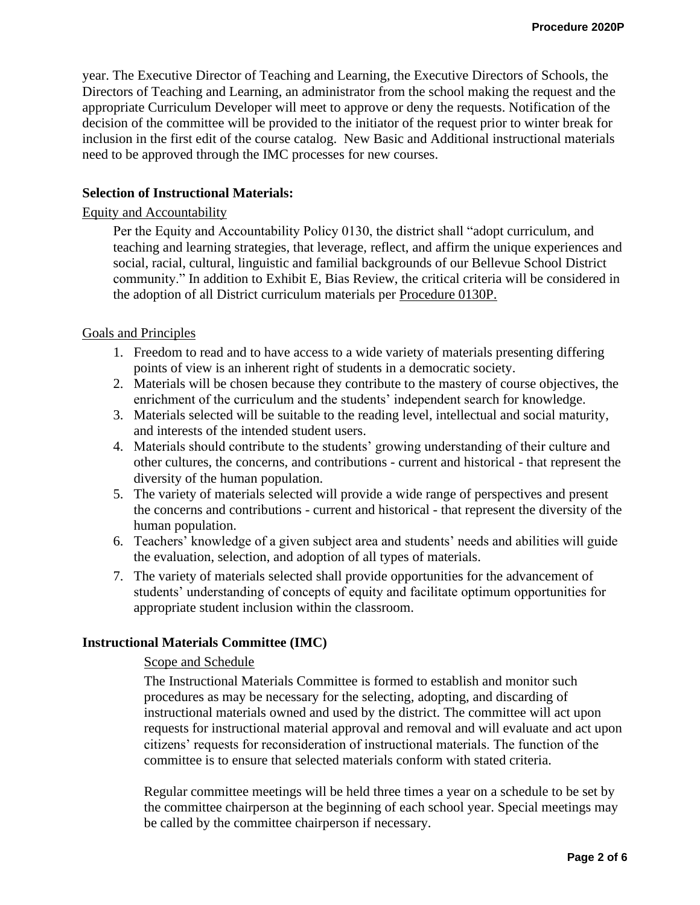year. The Executive Director of Teaching and Learning, the Executive Directors of Schools, the Directors of Teaching and Learning, an administrator from the school making the request and the appropriate Curriculum Developer will meet to approve or deny the requests. Notification of the decision of the committee will be provided to the initiator of the request prior to winter break for inclusion in the first edit of the course catalog. New Basic and Additional instructional materials need to be approved through the IMC processes for new courses.

## **Selection of Instructional Materials:**

# Equity and Accountability

Per the Equity and Accountability Policy 0130, the district shall "adopt curriculum, and teaching and learning strategies, that leverage, reflect, and affirm the unique experiences and social, racial, cultural, linguistic and familial backgrounds of our Bellevue School District community." In addition to Exhibit E, Bias Review, the critical criteria will be considered in the adoption of all District curriculum materials per [Procedure 0130P.](https://bsd405.org/wp-content/pdf/policy/0130P.pdf)

# Goals and Principles

- 1. Freedom to read and to have access to a wide variety of materials presenting differing points of view is an inherent right of students in a democratic society.
- 2. Materials will be chosen because they contribute to the mastery of course objectives, the enrichment of the curriculum and the students' independent search for knowledge.
- 3. Materials selected will be suitable to the reading level, intellectual and social maturity, and interests of the intended student users.
- 4. Materials should contribute to the students' growing understanding of their culture and other cultures, the concerns, and contributions - current and historical - that represent the diversity of the human population.
- 5. The variety of materials selected will provide a wide range of perspectives and present the concerns and contributions - current and historical - that represent the diversity of the human population.
- 6. Teachers' knowledge of a given subject area and students' needs and abilities will guide the evaluation, selection, and adoption of all types of materials.
- 7. The variety of materials selected shall provide opportunities for the advancement of students' understanding of concepts of equity and facilitate optimum opportunities for appropriate student inclusion within the classroom.

## **Instructional Materials Committee (IMC)**

# Scope and Schedule

The Instructional Materials Committee is formed to establish and monitor such procedures as may be necessary for the selecting, adopting, and discarding of instructional materials owned and used by the district. The committee will act upon requests for instructional material approval and removal and will evaluate and act upon citizens' requests for reconsideration of instructional materials. The function of the committee is to ensure that selected materials conform with stated criteria.

Regular committee meetings will be held three times a year on a schedule to be set by the committee chairperson at the beginning of each school year. Special meetings may be called by the committee chairperson if necessary.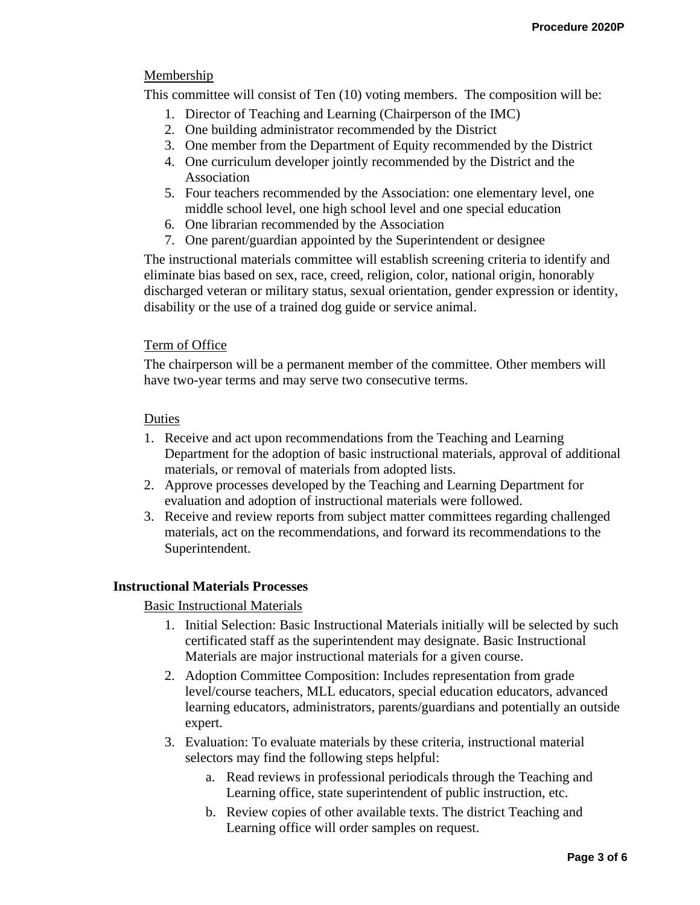# Membership

This committee will consist of Ten (10) voting members. The composition will be:

- 1. Director of Teaching and Learning (Chairperson of the IMC)
- 2. One building administrator recommended by the District
- 3. One member from the Department of Equity recommended by the District
- 4. One curriculum developer jointly recommended by the District and the Association
- 5. Four teachers recommended by the Association: one elementary level, one middle school level, one high school level and one special education
- 6. One librarian recommended by the Association
- 7. One parent/guardian appointed by the Superintendent or designee

The instructional materials committee will establish screening criteria to identify and eliminate bias based on sex, race, creed, religion, color, national origin, honorably discharged veteran or military status, sexual orientation, gender expression or identity, disability or the use of a trained dog guide or service animal.

# Term of Office

The chairperson will be a permanent member of the committee. Other members will have two-year terms and may serve two consecutive terms.

## Duties

- 1. Receive and act upon recommendations from the Teaching and Learning Department for the adoption of basic instructional materials, approval of additional materials, or removal of materials from adopted lists.
- 2. Approve processes developed by the Teaching and Learning Department for evaluation and adoption of instructional materials were followed.
- 3. Receive and review reports from subject matter committees regarding challenged materials, act on the recommendations, and forward its recommendations to the Superintendent.

# **Instructional Materials Processes**

Basic Instructional Materials

- 1. Initial Selection: Basic Instructional Materials initially will be selected by such certificated staff as the superintendent may designate. Basic Instructional Materials are major instructional materials for a given course.
- 2. Adoption Committee Composition: Includes representation from grade level/course teachers, MLL educators, special education educators, advanced learning educators, administrators, parents/guardians and potentially an outside expert.
- 3. Evaluation: To evaluate materials by these criteria, instructional material selectors may find the following steps helpful:
	- a. Read reviews in professional periodicals through the Teaching and Learning office, state superintendent of public instruction, etc.
	- b. Review copies of other available texts. The district Teaching and Learning office will order samples on request.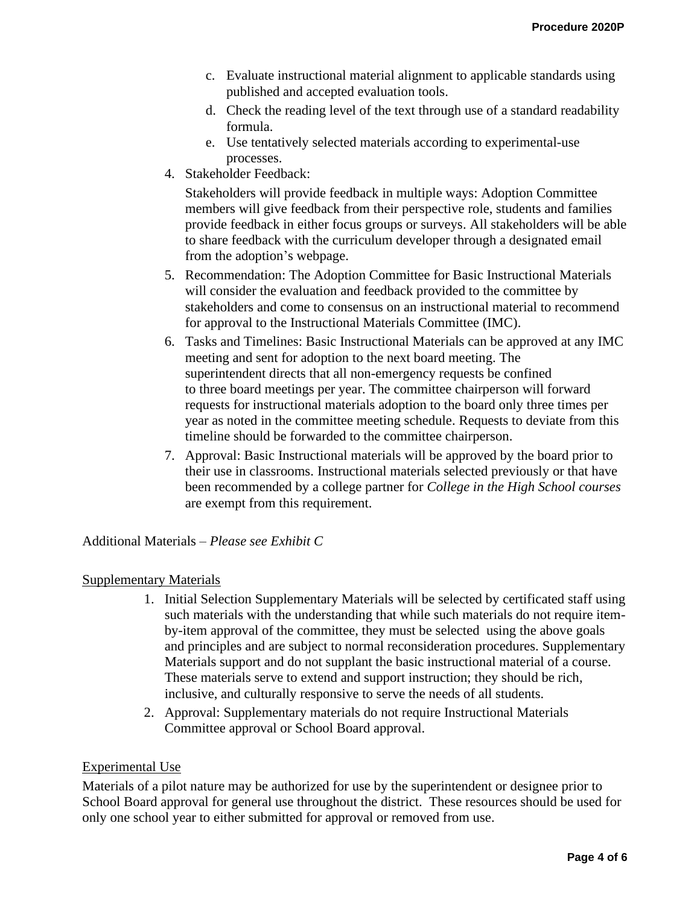- c. Evaluate instructional material alignment to applicable standards using published and accepted evaluation tools.
- d. Check the reading level of the text through use of a standard readability formula.
- e. Use tentatively selected materials according to experimental-use processes.
- 4. Stakeholder Feedback:

Stakeholders will provide feedback in multiple ways: Adoption Committee members will give feedback from their perspective role, students and families provide feedback in either focus groups or surveys. All stakeholders will be able to share feedback with the curriculum developer through a designated email from the adoption's webpage.

- 5. Recommendation: The Adoption Committee for Basic Instructional Materials will consider the evaluation and feedback provided to the committee by stakeholders and come to consensus on an instructional material to recommend for approval to the Instructional Materials Committee (IMC).
- 6. Tasks and Timelines: Basic Instructional Materials can be approved at any IMC meeting and sent for adoption to the next board meeting. The superintendent directs that all non-emergency requests be confined to three board meetings per year. The committee chairperson will forward requests for instructional materials adoption to the board only three times per year as noted in the committee meeting schedule. Requests to deviate from this timeline should be forwarded to the committee chairperson.
- 7. Approval: Basic Instructional materials will be approved by the board prior to their use in classrooms. Instructional materials selected previously or that have been recommended by a college partner for *College in the High School courses* are exempt from this requirement.

Additional Materials *– Please see Exhibit C*

## Supplementary Materials

- 1. Initial Selection Supplementary Materials will be selected by certificated staff using such materials with the understanding that while such materials do not require itemby-item approval of the committee, they must be selected using the above goals and principles and are subject to normal reconsideration procedures. Supplementary Materials support and do not supplant the basic instructional material of a course. These materials serve to extend and support instruction; they should be rich, inclusive, and culturally responsive to serve the needs of all students.
- 2. Approval: Supplementary materials do not require Instructional Materials Committee approval or School Board approval.

## Experimental Use

Materials of a pilot nature may be authorized for use by the superintendent or designee prior to School Board approval for general use throughout the district. These resources should be used for only one school year to either submitted for approval or removed from use.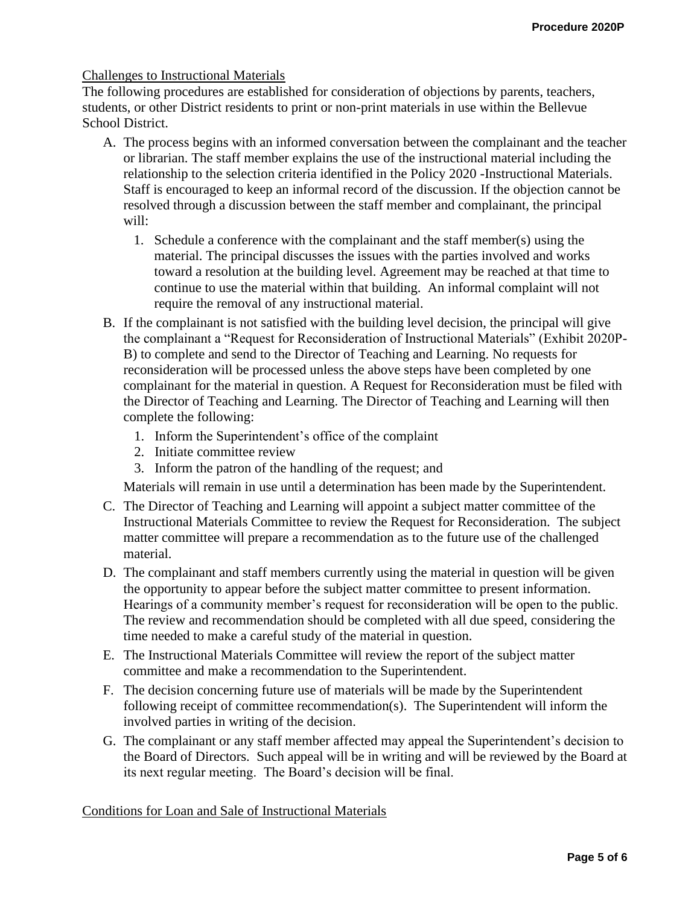## Challenges to Instructional Materials

The following procedures are established for consideration of objections by parents, teachers, students, or other District residents to print or non-print materials in use within the Bellevue School District.

- A. The process begins with an informed conversation between the complainant and the teacher or librarian. The staff member explains the use of the instructional material including the relationship to the selection criteria identified in the Policy 2020 -Instructional Materials. Staff is encouraged to keep an informal record of the discussion. If the objection cannot be resolved through a discussion between the staff member and complainant, the principal will:
	- 1. Schedule a conference with the complainant and the staff member(s) using the material. The principal discusses the issues with the parties involved and works toward a resolution at the building level. Agreement may be reached at that time to continue to use the material within that building. An informal complaint will not require the removal of any instructional material.
- B. If the complainant is not satisfied with the building level decision, the principal will give the complainant a "Request for Reconsideration of Instructional Materials" (Exhibit 2020P-B) to complete and send to the Director of Teaching and Learning. No requests for reconsideration will be processed unless the above steps have been completed by one complainant for the material in question. A Request for Reconsideration must be filed with the Director of Teaching and Learning. The Director of Teaching and Learning will then complete the following:
	- 1. Inform the Superintendent's office of the complaint
	- 2. Initiate committee review
	- 3. Inform the patron of the handling of the request; and

Materials will remain in use until a determination has been made by the Superintendent.

- C. The Director of Teaching and Learning will appoint a subject matter committee of the Instructional Materials Committee to review the Request for Reconsideration. The subject matter committee will prepare a recommendation as to the future use of the challenged material.
- D. The complainant and staff members currently using the material in question will be given the opportunity to appear before the subject matter committee to present information. Hearings of a community member's request for reconsideration will be open to the public. The review and recommendation should be completed with all due speed, considering the time needed to make a careful study of the material in question.
- E. The Instructional Materials Committee will review the report of the subject matter committee and make a recommendation to the Superintendent.
- F. The decision concerning future use of materials will be made by the Superintendent following receipt of committee recommendation(s). The Superintendent will inform the involved parties in writing of the decision.
- G. The complainant or any staff member affected may appeal the Superintendent's decision to the Board of Directors. Such appeal will be in writing and will be reviewed by the Board at its next regular meeting. The Board's decision will be final.

Conditions for Loan and Sale of Instructional Materials